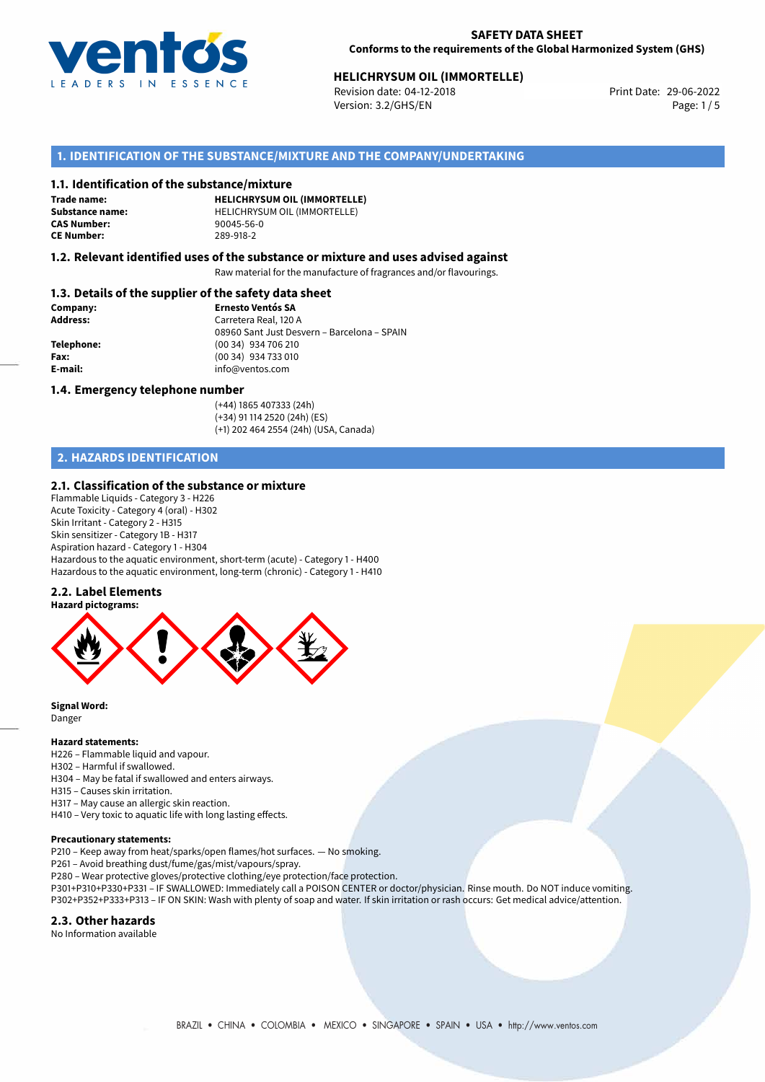

# **HELICHRYSUM OIL (IMMORTELLE)**<br>
Revision date: 04-12-2018<br> **Print Date: 29-06-2022**

Revision date: 04-12-2018 Version: 3.2/GHS/EN Page: 1/5

# **1. IDENTIFICATION OF THE SUBSTANCE/MIXTURE AND THE COMPANY/UNDERTAKING**

#### **1.1. Identification of the substance/mixture**

**Trade name: CAS Number: CE Number:** 289-918-2

**HELICHRYSUM OIL (IMMORTELLE) Substance name:** HELICHRYSUM OIL (IMMORTELLE)<br> **CAS Number:** 90045-56-0

## **1.2. Relevant identified uses of the substance or mixture and uses advised against**

Raw material for the manufacture of fragrances and/or flavourings.

## **1.3. Details of the supplier of the safety data sheet**

| Company:        | <b>Ernesto Ventós SA</b>                    |  |
|-----------------|---------------------------------------------|--|
| <b>Address:</b> | Carretera Real, 120 A                       |  |
|                 | 08960 Sant Just Desvern - Barcelona - SPAIN |  |
| Telephone:      | (00 34) 934 706 210                         |  |
| Fax:            | (00 34) 934 733 010                         |  |
| E-mail:         | info@ventos.com                             |  |
|                 |                                             |  |

#### **1.4. Emergency telephone number**

(+44) 1865 407333 (24h) (+34) 91 114 2520 (24h) (ES) (+1) 202 464 2554 (24h) (USA, Canada)

# **2. HAZARDS IDENTIFICATION**

### **2.1. Classification of the substance or mixture**

Flammable Liquids - Category 3 - H226 Acute Toxicity - Category 4 (oral) - H302 Skin Irritant - Category 2 - H315 Skin sensitizer - Category 1B - H317 Aspiration hazard - Category 1 - H304 Hazardous to the aquatic environment, short-term (acute) - Category 1 - H400 Hazardous to the aquatic environment, long-term (chronic) - Category 1 - H410

## **2.2. Label Elements**



**Signal Word:** Danger

#### **Hazard statements:**

- H226 Flammable liquid and vapour. H302 – Harmful if swallowed.
- H304 May be fatal if swallowed and enters airways.
- H315 Causes skin irritation.
- H317 May cause an allergic skin reaction.
- H410 Very toxic to aquatic life with long lasting effects.

#### **Precautionary statements:**

- P210 Keep away from heat/sparks/open flames/hot surfaces. No smoking.
- P261 Avoid breathing dust/fume/gas/mist/vapours/spray.
- P280 Wear protective gloves/protective clothing/eye protection/face protection.
- P301+P310+P330+P331 IF SWALLOWED: Immediately call a POISON CENTER or doctor/physician. Rinse mouth. Do NOT induce vomiting. P302+P352+P333+P313 – IF ON SKIN: Wash with plenty of soap and water. If skin irritation or rash occurs: Get medical advice/attention.

#### **2.3. Other hazards**

No Information available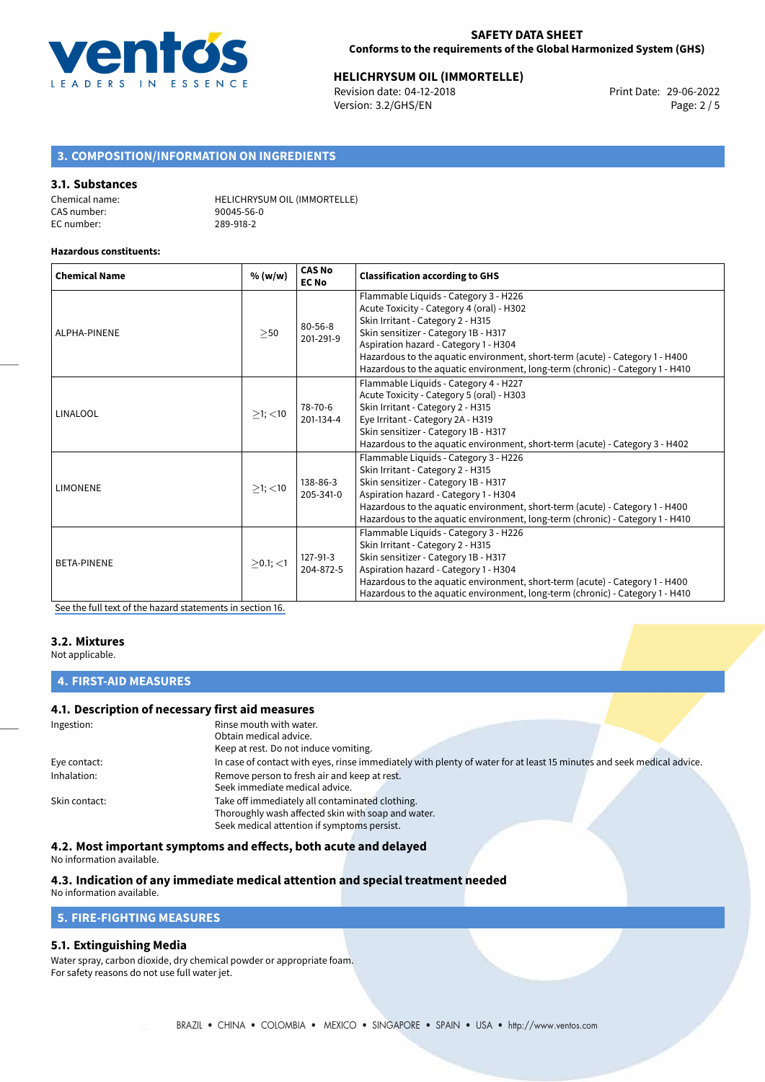

# **HELICHRYSUM OIL (IMMORTELLE)**<br>
Revision date: 04-12-2018<br>
Print Date: 29-06-2022

Revision date: 04-12-2018 Version: 3.2/GHS/EN Page: 2 / 5

# **3. COMPOSITION/INFORMATION ON INGREDIENTS**

## **3.1. Substances**

| Chemical name: | <b>HELICHRYSUM OIL (IMMORTELLE)</b> |
|----------------|-------------------------------------|
| CAS number:    | 90045-56-0                          |
| EC number:     | 289-918-2                           |

#### **Hazardous constituents:**

| <b>Chemical Name</b> | % (w/w)       | <b>CAS No</b><br><b>EC No</b> | <b>Classification according to GHS</b>                                                                                                                                                                                                                                                                                                                                    |  |
|----------------------|---------------|-------------------------------|---------------------------------------------------------------------------------------------------------------------------------------------------------------------------------------------------------------------------------------------------------------------------------------------------------------------------------------------------------------------------|--|
| ALPHA-PINENE         | >50           | $80 - 56 - 8$<br>201-291-9    | Flammable Liquids - Category 3 - H226<br>Acute Toxicity - Category 4 (oral) - H302<br>Skin Irritant - Category 2 - H315<br>Skin sensitizer - Category 1B - H317<br>Aspiration hazard - Category 1 - H304<br>Hazardous to the aquatic environment, short-term (acute) - Category 1 - H400<br>Hazardous to the aquatic environment, long-term (chronic) - Category 1 - H410 |  |
| LINALOOL             | $>1$ ; $<$ 10 | 78-70-6<br>201-134-4          | Flammable Liquids - Category 4 - H227<br>Acute Toxicity - Category 5 (oral) - H303<br>Skin Irritant - Category 2 - H315<br>Eye Irritant - Category 2A - H319<br>Skin sensitizer - Category 1B - H317<br>Hazardous to the aquatic environment, short-term (acute) - Category 3 - H402                                                                                      |  |
| <b>LIMONENE</b>      | $\geq$ 1; <10 | 138-86-3<br>205-341-0         | Flammable Liquids - Category 3 - H226<br>Skin Irritant - Category 2 - H315<br>Skin sensitizer - Category 1B - H317<br>Aspiration hazard - Category 1 - H304<br>Hazardous to the aquatic environment, short-term (acute) - Category 1 - H400<br>Hazardous to the aquatic environment, long-term (chronic) - Category 1 - H410                                              |  |
| <b>BETA-PINENE</b>   | $>0.1;$ <1    | 127-91-3<br>204-872-5         | Flammable Liquids - Category 3 - H226<br>Skin Irritant - Category 2 - H315<br>Skin sensitizer - Category 1B - H317<br>Aspiration hazard - Category 1 - H304<br>Hazardous to the aquatic environment, short-term (acute) - Category 1 - H400<br>Hazardous to the aquatic environment, long-term (chronic) - Category 1 - H410                                              |  |

[See the full text of the hazard statements in section 16.](#page-4-0)

## **3.2. Mixtures**

Not applicable.

# **4. FIRST-AID MEASURES**

## **4.1. Description of necessary first aid measures**

| Ingestion:    | Rinse mouth with water.                                                                                               |
|---------------|-----------------------------------------------------------------------------------------------------------------------|
|               | Obtain medical advice.                                                                                                |
|               | Keep at rest. Do not induce vomiting.                                                                                 |
| Eye contact:  | In case of contact with eyes, rinse immediately with plenty of water for at least 15 minutes and seek medical advice. |
| Inhalation:   | Remove person to fresh air and keep at rest.                                                                          |
|               | Seek immediate medical advice.                                                                                        |
| Skin contact: | Take off immediately all contaminated clothing.                                                                       |
|               | Thoroughly wash affected skin with soap and water.                                                                    |
|               | Seek medical attention if symptoms persist.                                                                           |

## **4.2. Most important symptoms and effects, both acute and delayed**

No information available.

#### **4.3. Indication of any immediate medical attention and special treatment needed** No information available.

**5. FIRE-FIGHTING MEASURES**

# **5.1. Extinguishing Media**

Water spray, carbon dioxide, dry chemical powder or appropriate foam. For safety reasons do not use full water jet.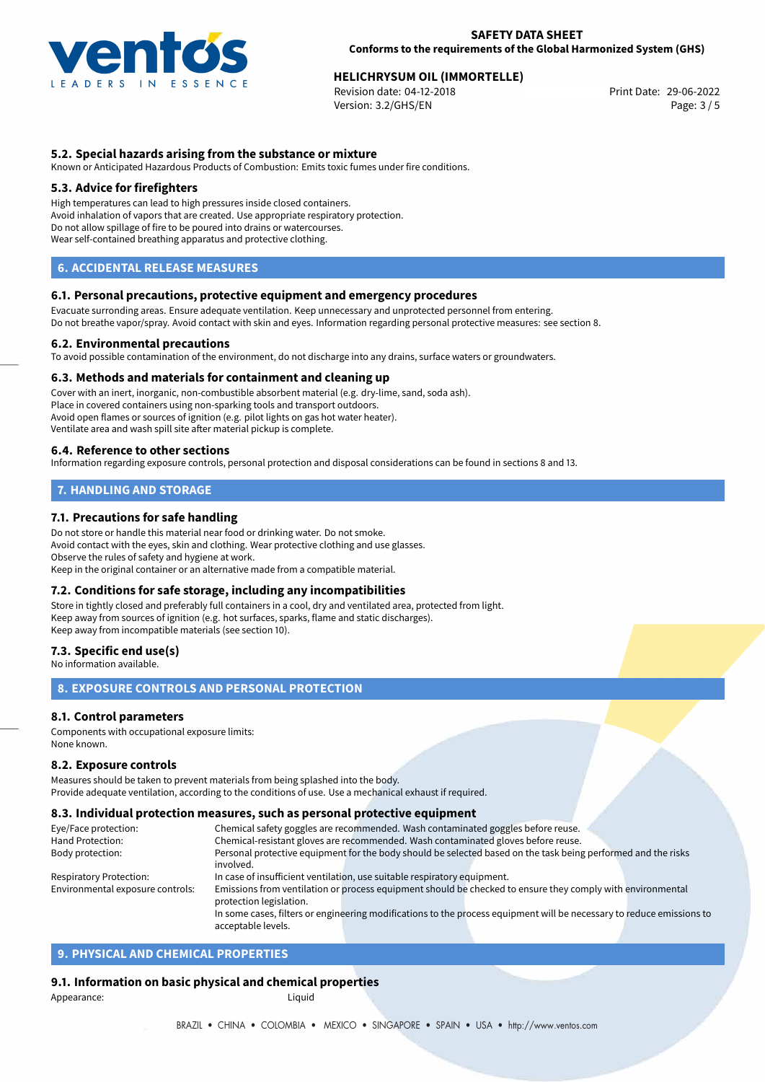

# **HELICHRYSUM OIL (IMMORTELLE)**<br>
Revision date: 04-12-2018<br> **Print Date: 29-06-2022**

Revision date: 04-12-2018 Version: 3.2/GHS/EN Page: 3 / 5

# **5.2. Special hazards arising from the substance or mixture**

Known or Anticipated Hazardous Products of Combustion: Emits toxic fumes under fire conditions.

## **5.3. Advice for firefighters**

High temperatures can lead to high pressures inside closed containers. Avoid inhalation of vapors that are created. Use appropriate respiratory protection. Do not allow spillage of fire to be poured into drains or watercourses. Wear self-contained breathing apparatus and protective clothing.

# **6. ACCIDENTAL RELEASE MEASURES**

#### **6.1. Personal precautions, protective equipment and emergency procedures**

Evacuate surronding areas. Ensure adequate ventilation. Keep unnecessary and unprotected personnel from entering. Do not breathe vapor/spray. Avoid contact with skin and eyes. Information regarding personal protective measures: see section 8.

#### **6.2. Environmental precautions**

To avoid possible contamination of the environment, do not discharge into any drains, surface waters or groundwaters.

#### **6.3. Methods and materials for containment and cleaning up**

Cover with an inert, inorganic, non-combustible absorbent material (e.g. dry-lime, sand, soda ash). Place in covered containers using non-sparking tools and transport outdoors. Avoid open flames or sources of ignition (e.g. pilot lights on gas hot water heater). Ventilate area and wash spill site after material pickup is complete.

#### **6.4. Reference to other sections**

Information regarding exposure controls, personal protection and disposal considerations can be found in sections 8 and 13.

# **7. HANDLING AND STORAGE**

## **7.1. Precautions for safe handling**

Do not store or handle this material near food or drinking water. Do not smoke. Avoid contact with the eyes, skin and clothing. Wear protective clothing and use glasses. Observe the rules of safety and hygiene at work. Keep in the original container or an alternative made from a compatible material.

## **7.2. Conditions for safe storage, including any incompatibilities**

Store in tightly closed and preferably full containers in a cool, dry and ventilated area, protected from light. Keep away from sources of ignition (e.g. hot surfaces, sparks, flame and static discharges). Keep away from incompatible materials (see section 10).

#### **7.3. Specific end use(s)**

No information available.

# **8. EXPOSURE CONTROLS AND PERSONAL PROTECTION**

## **8.1. Control parameters**

Components with occupational exposure limits: None known.

#### **8.2. Exposure controls**

Measures should be taken to prevent materials from being splashed into the body. Provide adequate ventilation, according to the conditions of use. Use a mechanical exhaust if required.

#### **8.3. Individual protection measures, such as personal protective equipment**

acceptable levels.

| Eye/Face protection:                                                                                                              | Chemical safety goggles are recommended. Wash contaminated goggles before reuse.                                      |  |  |  |
|-----------------------------------------------------------------------------------------------------------------------------------|-----------------------------------------------------------------------------------------------------------------------|--|--|--|
| Hand Protection:                                                                                                                  | Chemical-resistant gloves are recommended. Wash contaminated gloves before reuse.                                     |  |  |  |
| Personal protective equipment for the body should be selected based on the task being performed and the risks<br>Body protection: |                                                                                                                       |  |  |  |
|                                                                                                                                   | involved.                                                                                                             |  |  |  |
| Respiratory Protection:                                                                                                           | In case of insufficient ventilation, use suitable respiratory equipment.                                              |  |  |  |
| Environmental exposure controls:                                                                                                  | Emissions from ventilation or process equipment should be checked to ensure they comply with environmental            |  |  |  |
|                                                                                                                                   | protection legislation.                                                                                               |  |  |  |
|                                                                                                                                   | In some cases, filters or engineering modifications to the process equipment will be necessary to reduce emissions to |  |  |  |
|                                                                                                                                   |                                                                                                                       |  |  |  |

# **9. PHYSICAL AND CHEMICAL PROPERTIES**

## **9.1. Information on basic physical and chemical properties**

Appearance: Liquid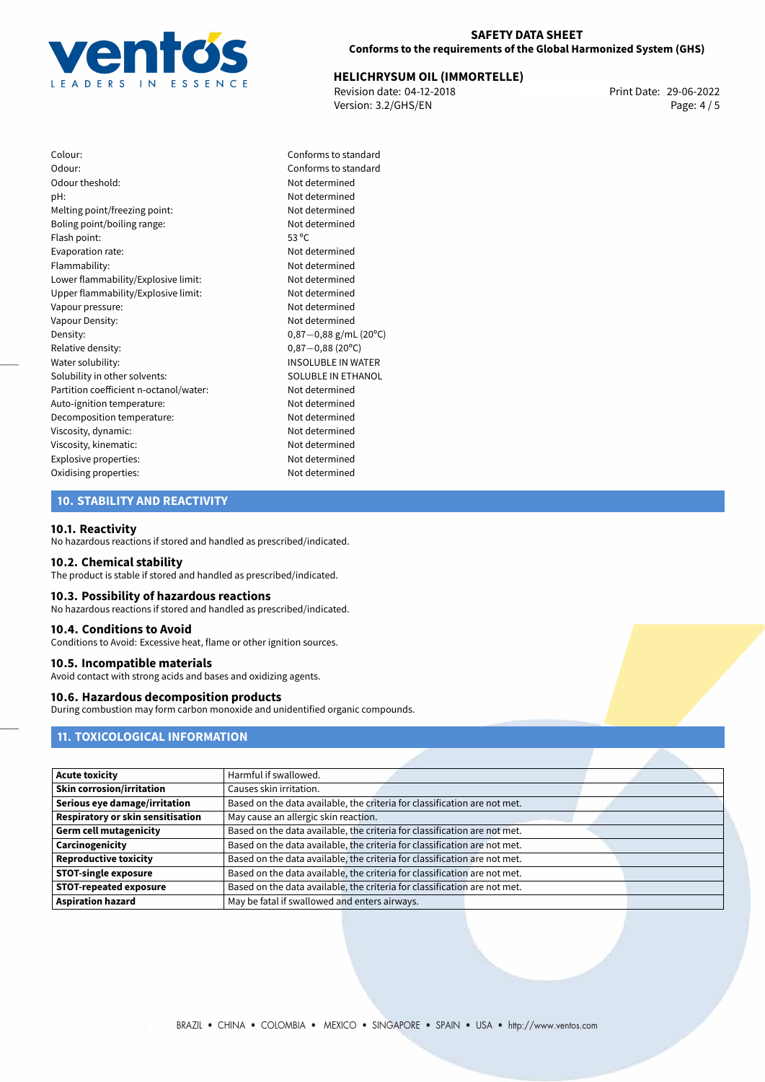

#### **SAFETY DATA SHEET Conforms to the requirements of the Global Harmonized System (GHS)**

# **HELICHRYSUM OIL (IMMORTELLE)**<br>
Revision date: 04-12-2018<br>
Print Date: 29-06-2022

Revision date: 04-12-2018 Version: 3.2/GHS/EN Page: 4 / 5

Colour: Conforms to standard Odour: Conforms to standard Odour theshold: Not determined pH: Not determined Melting point/freezing point: Not determined Boling point/boiling range: Not determined Flash point: 53 °C Evaporation rate: Not determined Flammability: Not determined Lower flammability/Explosive limit: Not determined Upper flammability/Explosive limit: Not determined Vapour pressure: Not determined Vapour Density: Vapour Density: Density: 0,87−0,88 g/mL (20°C)<br>Relative density: 0,87−0,88 (20°C) Relative density: 0,87−0,88 (20°C)<br>Water solubility: 0,87−0,88 (20°C) Solubility in other solvents: Partition coefficient n-octanol/water: Not determined Auto-ignition temperature: Not determined Decomposition temperature: Not determined Viscosity, dynamic: Not determined Viscosity, kinematic: Not determined Explosive properties: Not determined Oxidising properties: Not determined

INSOLUBLE IN WATER<br>SOLUBLE IN ETHANOL

# **10. STABILITY AND REACTIVITY**

#### **10.1. Reactivity**

No hazardous reactions if stored and handled as prescribed/indicated.

#### **10.2. Chemical stability**

The product is stable if stored and handled as prescribed/indicated.

## **10.3. Possibility of hazardous reactions**

No hazardous reactions if stored and handled as prescribed/indicated.

### **10.4. Conditions to Avoid**

Conditions to Avoid: Excessive heat, flame or other ignition sources.

#### **10.5. Incompatible materials**

Avoid contact with strong acids and bases and oxidizing agents.

# **10.6. Hazardous decomposition products**

During combustion may form carbon monoxide and unidentified organic compounds.

# **11. TOXICOLOGICAL INFORMATION**

| <b>Acute toxicity</b>                    | Harmful if swallowed.                                                     |
|------------------------------------------|---------------------------------------------------------------------------|
| <b>Skin corrosion/irritation</b>         | Causes skin irritation.                                                   |
| Serious eye damage/irritation            | Based on the data available, the criteria for classification are not met. |
| <b>Respiratory or skin sensitisation</b> | May cause an allergic skin reaction.                                      |
| <b>Germ cell mutagenicity</b>            | Based on the data available, the criteria for classification are not met. |
| Carcinogenicity                          | Based on the data available, the criteria for classification are not met. |
| <b>Reproductive toxicity</b>             | Based on the data available, the criteria for classification are not met. |
| <b>STOT-single exposure</b>              | Based on the data available, the criteria for classification are not met. |
| <b>STOT-repeated exposure</b>            | Based on the data available, the criteria for classification are not met. |
| <b>Aspiration hazard</b>                 | May be fatal if swallowed and enters airways.                             |